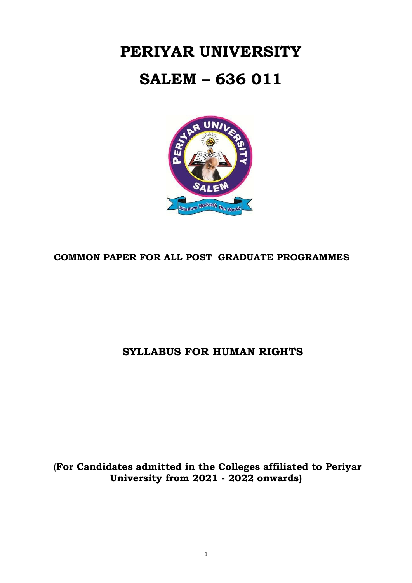# **PERIYAR UNIVERSITY**

# **SALEM – 636 011**



## **COMMON PAPER FOR ALL POST GRADUATE PROGRAMMES**

# **SYLLABUS FOR HUMAN RIGHTS**

(**For Candidates admitted in the Colleges affiliated to Periyar University from 2021 - 2022 onwards)**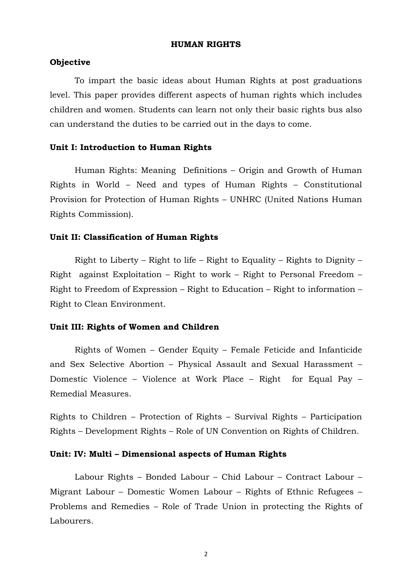#### **HUMAN RIGHTS**

#### **Objective**

To impart the basic ideas about Human Rights at post graduations level. This paper provides different aspects of human rights which includes children and women. Students can learn not only their basic rights bus also can understand the duties to be carried out in the days to come.

#### **Unit I: Introduction to Human Rights**

Human Rights: Meaning Definitions – Origin and Growth of Human Rights in World – Need and types of Human Rights – Constitutional Provision for Protection of Human Rights – UNHRC (United Nations Human Rights Commission).

#### **Unit II: Classification of Human Rights**

Right to Liberty – Right to life – Right to Equality – Rights to Dignity – Right against Exploitation – Right to work – Right to Personal Freedom – Right to Freedom of Expression – Right to Education – Right to information – Right to Clean Environment.

#### **Unit III: Rights of Women and Children**

Rights of Women – Gender Equity – Female Feticide and Infanticide and Sex Selective Abortion – Physical Assault and Sexual Harassment – Domestic Violence – Violence at Work Place – Right for Equal Pay – Remedial Measures.

Rights to Children – Protection of Rights – Survival Rights – Participation Rights – Development Rights – Role of UN Convention on Rights of Children.

## **Unit: IV: Multi – Dimensional aspects of Human Rights**

Labour Rights – Bonded Labour – Chid Labour – Contract Labour – Migrant Labour – Domestic Women Labour – Rights of Ethnic Refugees – Problems and Remedies – Role of Trade Union in protecting the Rights of Labourers.